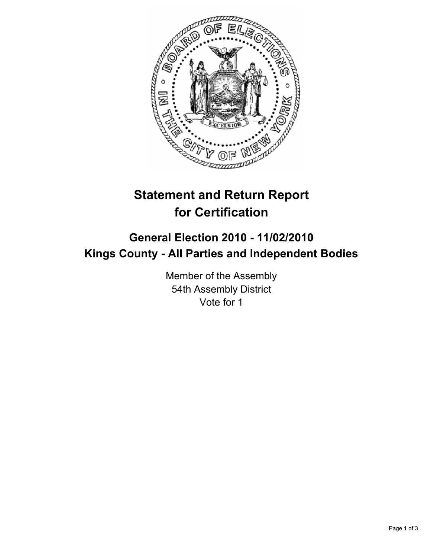

## **Statement and Return Report for Certification**

## **General Election 2010 - 11/02/2010 Kings County - All Parties and Independent Bodies**

Member of the Assembly 54th Assembly District Vote for 1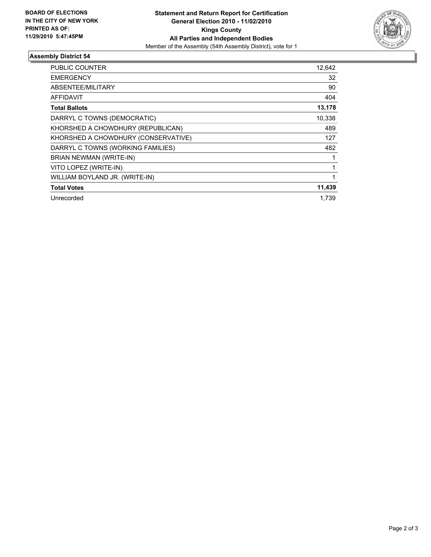

## **Assembly District 54**

| <b>PUBLIC COUNTER</b>               | 12,642 |
|-------------------------------------|--------|
| <b>EMERGENCY</b>                    | 32     |
| ABSENTEE/MILITARY                   | 90     |
| <b>AFFIDAVIT</b>                    | 404    |
| <b>Total Ballots</b>                | 13,178 |
| DARRYL C TOWNS (DEMOCRATIC)         | 10,338 |
| KHORSHED A CHOWDHURY (REPUBLICAN)   | 489    |
| KHORSHED A CHOWDHURY (CONSERVATIVE) | 127    |
| DARRYL C TOWNS (WORKING FAMILIES)   | 482    |
| BRIAN NEWMAN (WRITE-IN)             |        |
| VITO LOPEZ (WRITE-IN)               | 1      |
| WILLIAM BOYLAND JR. (WRITE-IN)      | 1      |
| <b>Total Votes</b>                  | 11,439 |
| Unrecorded                          | 1.739  |